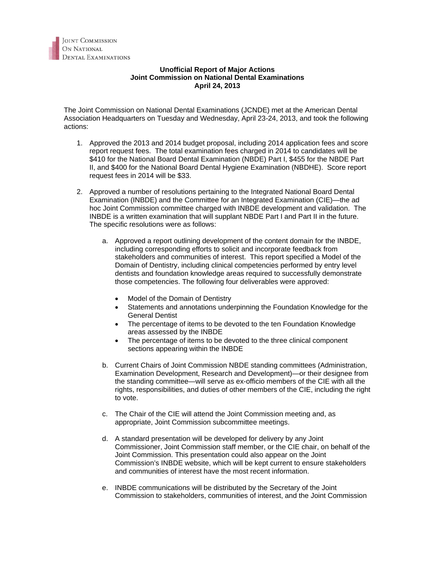## **Unofficial Report of Major Actions Joint Commission on National Dental Examinations April 24, 2013**

The Joint Commission on National Dental Examinations (JCNDE) met at the American Dental Association Headquarters on Tuesday and Wednesday, April 23-24, 2013, and took the following actions:

- 1. Approved the 2013 and 2014 budget proposal, including 2014 application fees and score report request fees. The total examination fees charged in 2014 to candidates will be \$410 for the National Board Dental Examination (NBDE) Part I, \$455 for the NBDE Part II, and \$400 for the National Board Dental Hygiene Examination (NBDHE). Score report request fees in 2014 will be \$33.
- 2. Approved a number of resolutions pertaining to the Integrated National Board Dental Examination (INBDE) and the Committee for an Integrated Examination (CIE)—the ad hoc Joint Commission committee charged with INBDE development and validation. The INBDE is a written examination that will supplant NBDE Part I and Part II in the future. The specific resolutions were as follows:
	- a. Approved a report outlining development of the content domain for the INBDE, including corresponding efforts to solicit and incorporate feedback from stakeholders and communities of interest. This report specified a Model of the Domain of Dentistry, including clinical competencies performed by entry level dentists and foundation knowledge areas required to successfully demonstrate those competencies. The following four deliverables were approved:
		- Model of the Domain of Dentistry
		- Statements and annotations underpinning the Foundation Knowledge for the General Dentist
		- The percentage of items to be devoted to the ten Foundation Knowledge areas assessed by the INBDE
		- The percentage of items to be devoted to the three clinical component sections appearing within the INBDE
	- b. Current Chairs of Joint Commission NBDE standing committees (Administration, Examination Development, Research and Development)—or their designee from the standing committee—will serve as ex-officio members of the CIE with all the rights, responsibilities, and duties of other members of the CIE, including the right to vote.
	- c. The Chair of the CIE will attend the Joint Commission meeting and, as appropriate, Joint Commission subcommittee meetings.
	- d. A standard presentation will be developed for delivery by any Joint Commissioner, Joint Commission staff member, or the CIE chair, on behalf of the Joint Commission. This presentation could also appear on the Joint Commission's INBDE website, which will be kept current to ensure stakeholders and communities of interest have the most recent information.
	- e. INBDE communications will be distributed by the Secretary of the Joint Commission to stakeholders, communities of interest, and the Joint Commission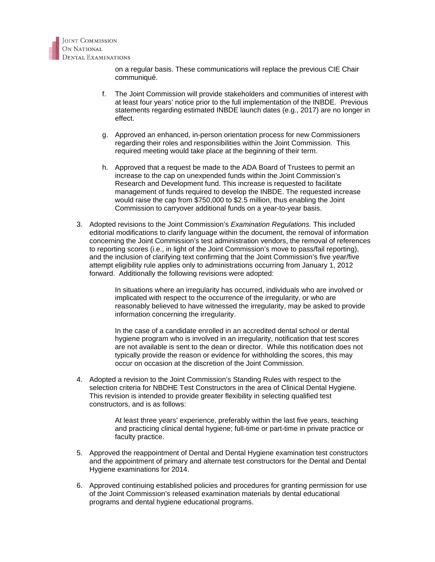

on a regular basis. These communications will replace the previous CIE Chair communiqué.

- f. The Joint Commission will provide stakeholders and communities of interest with at least four years' notice prior to the full implementation of the INBDE. Previous statements regarding estimated INBDE launch dates (e.g., 2017) are no longer in effect.
- g. Approved an enhanced, in-person orientation process for new Commissioners regarding their roles and responsibilities within the Joint Commission. This required meeting would take place at the beginning of their term.
- h. Approved that a request be made to the ADA Board of Trustees to permit an increase to the cap on unexpended funds within the Joint Commission's Research and Development fund. This increase is requested to facilitate management of funds required to develop the INBDE. The requested increase would raise the cap from \$750,000 to \$2.5 million, thus enabling the Joint Commission to carryover additional funds on a year-to-year basis.
- 3. Adopted revisions to the Joint Commission's *Examination Regulations.* This included editorial modifications to clarify language within the document, the removal of information concerning the Joint Commission's test administration vendors, the removal of references to reporting scores (i.e., in light of the Joint Commission's move to pass/fail reporting), and the inclusion of clarifying text confirming that the Joint Commission's five year/five attempt eligibility rule applies only to administrations occurring from January 1, 2012 forward. Additionally the following revisions were adopted:

In situations where an irregularity has occurred, individuals who are involved or implicated with respect to the occurrence of the irregularity, or who are reasonably believed to have witnessed the irregularity, may be asked to provide information concerning the irregularity.

In the case of a candidate enrolled in an accredited dental school or dental hygiene program who is involved in an irregularity, notification that test scores are not available is sent to the dean or director. While this notification does not typically provide the reason or evidence for withholding the scores, this may occur on occasion at the discretion of the Joint Commission.

4. Adopted a revision to the Joint Commission's Standing Rules with respect to the selection criteria for NBDHE Test Constructors in the area of Clinical Dental Hygiene. This revision is intended to provide greater flexibility in selecting qualified test constructors, and is as follows:

> At least three years' experience, preferably within the last five years, teaching and practicing clinical dental hygiene; full-time or part-time in private practice or faculty practice.

- 5. Approved the reappointment of Dental and Dental Hygiene examination test constructors and the appointment of primary and alternate test constructors for the Dental and Dental Hygiene examinations for 2014.
- 6. Approved continuing established policies and procedures for granting permission for use of the Joint Commission's released examination materials by dental educational programs and dental hygiene educational programs.